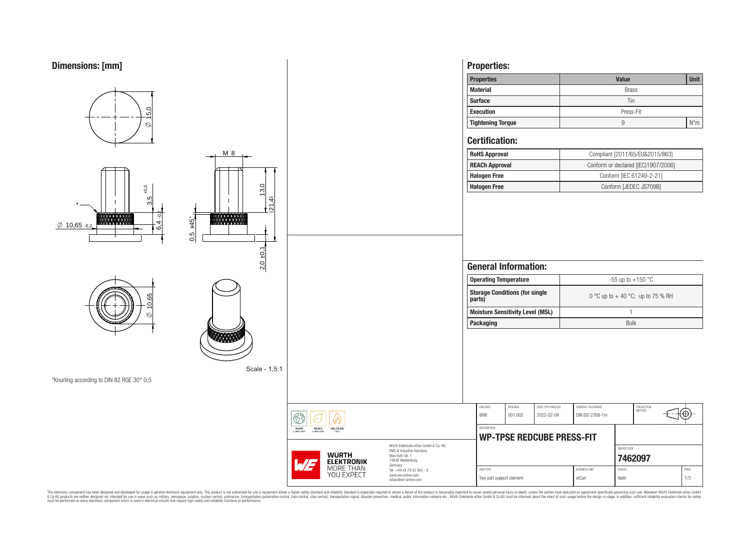

This electronic component has been designed and developed for usage in general electronic equipment only. This product is not authorized for subserved requipment where a higher selection equipment where a higher selection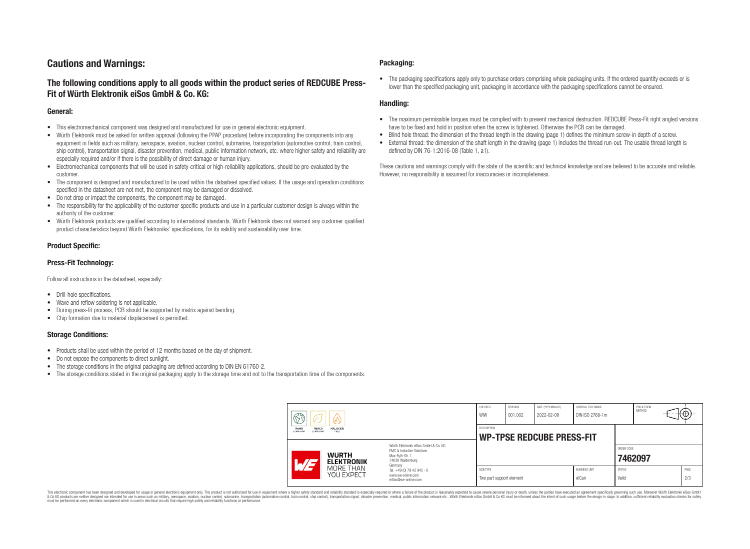# **Cautions and Warnings:**

# **The following conditions apply to all goods within the product series of REDCUBE Press-Fit of Würth Elektronik eiSos GmbH & Co. KG:**

### **General:**

- This electromechanical component was designed and manufactured for use in general electronic equipment.
- Würth Elektronik must be asked for written approval (following the PPAP procedure) before incorporating the components into any equipment in fields such as military, aerospace, aviation, nuclear control, submarine, transportation (automotive control, train control, ship control), transportation signal, disaster prevention, medical, public information network, etc. where higher safety and reliability are especially required and/or if there is the possibility of direct damage or human injury.
- Electromechanical components that will be used in safety-critical or high-reliability applications, should be pre-evaluated by the customer.
- The component is designed and manufactured to be used within the datasheet specified values. If the usage and operation conditions specified in the datasheet are not met, the component may be damaged or dissolved.
- Do not drop or impact the components, the component may be damaged.
- The responsibility for the applicability of the customer specific products and use in a particular customer design is always within the authority of the customer.
- Würth Elektronik products are qualified according to international standards. Würth Elektronik does not warrant any customer qualified product characteristics beyond Würth Elektroniks' specifications, for its validity and sustainability over time.

### **Product Specific:**

### **Press-Fit Technology:**

Follow all instructions in the datasheet, especially:

- Drill-hole specifications.
- Wave and reflow soldering is not applicable.
- During press-fit process, PCB should be supported by matrix against bending.
- Chip formation due to material displacement is permitted.

### **Storage Conditions:**

- Products shall be used within the period of 12 months based on the day of shipment.
- Do not expose the components to direct sunlight.
- The storage conditions in the original packaging are defined according to DIN EN 61760-2.
- The storage conditions stated in the original packaging apply to the storage time and not to the transportation time of the components.

### **Packaging:**

• The packaging specifications apply only to purchase orders comprising whole packaging units. If the ordered quantity exceeds or is lower than the specified packaging unit, packaging in accordance with the packaging specifications cannot be ensured.

### **Handling:**

- The maximum permissible torques must be complied with to prevent mechanical destruction. REDCUBE Press-Fit right angled versions have to be fixed and hold in position when the screw is tightened. Otherwise the PCB can be damaged.
- Blind hole thread: the dimension of the thread length in the drawing (page 1) defines the minimum screw-in depth of a screw.
- External thread: the dimension of the shaft length in the drawing (page 1) includes the thread run-out. The usable thread length is defined by DIN 76-1:2016-08 (Table 1, a1).

These cautions and warnings comply with the state of the scientific and technical knowledge and are believed to be accurate and reliable. However, no responsibility is assumed for inaccuracies or incompleteness.

| $\circledS$                                                                            |                                                                                                                                                                                               | CHECKED<br>WIW                        | <b>REVISION</b><br>001.002                      | DATE (YYYY-MM-DD)<br>2022-02-09 | GENERAL TOLERANCE<br>DIN ISO 2768-1m |                        | PROJECTION<br>METHOD  |  | $H\oplus$   |  |
|----------------------------------------------------------------------------------------|-----------------------------------------------------------------------------------------------------------------------------------------------------------------------------------------------|---------------------------------------|-------------------------------------------------|---------------------------------|--------------------------------------|------------------------|-----------------------|--|-------------|--|
| <b>RoHS</b><br><b>REACh</b><br><b>HALOGEN</b><br>COMPLIANT<br><b>COMPLIANT</b><br>ERFF |                                                                                                                                                                                               |                                       | DESCRIPTION<br><b>WP-TPSE REDCUBE PRESS-FIT</b> |                                 |                                      |                        |                       |  |             |  |
| <b>WURTH</b><br>AT<br><b>ELEKTRONIK</b>                                                | Würth Elektronik eiSos GmbH & Co. KG<br>EMC & Inductive Solutions<br>Max-Evth-Str. 1<br>74638 Waldenburg<br>Germany<br>Tel. +49 (0) 79 42 945 - 0<br>www.we-online.com<br>eiSos@we-online.com |                                       |                                                 |                                 |                                      |                        | ORDER CODE<br>7462097 |  |             |  |
| MORE THAN<br>YOU EXPECT                                                                |                                                                                                                                                                                               | SIZE/TYPE<br>Two part support element |                                                 |                                 | <b>BUSINESS UNIT</b><br>eiCan        | <b>STATUS</b><br>Valid |                       |  | PAGE<br>2/3 |  |

This electronic component has been designed and developed for usage in general electronic equipment only. This product is not authorized for use in equipment where a higher safety standard and reliability standard si espec & Ook product a label and the membed of the seasuch as marked and as which such a membed and the such assume that income in the seasuch and the simulation and the such assume that include to the such a membed and the such